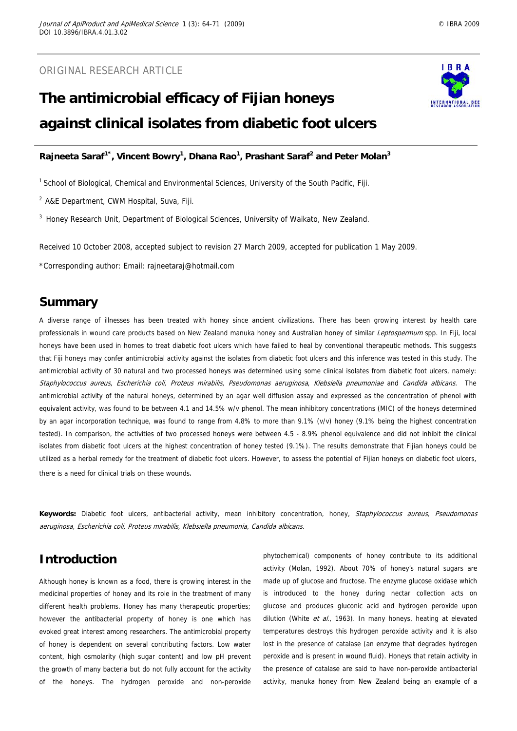# **The antimicrobial efficacy of Fijian honeys against clinical isolates from diabetic foot ulcers**



## Rajneeta Saraf<sup>1\*</sup>, Vincent Bowry<sup>1</sup>, Dhana Rao<sup>1</sup>, Prashant Saraf<sup>2</sup> and Peter Molan<sup>3</sup>

<sup>1</sup> School of Biological, Chemical and Environmental Sciences, University of the South Pacific, Fiji.

2 A&E Department, CWM Hospital, Suva, Fiji.

 $3$  Honey Research Unit, Department of Biological Sciences, University of Waikato, New Zealand.

Received 10 October 2008, accepted subject to revision 27 March 2009, accepted for publication 1 May 2009.

\*Corresponding author: Email: rajneetaraj@hotmail.com

## **Summary**

A diverse range of illnesses has been treated with honey since ancient civilizations. There has been growing interest by health care professionals in wound care products based on New Zealand manuka honey and Australian honey of similar Leptospermum spp. In Fiji, local honeys have been used in homes to treat diabetic foot ulcers which have failed to heal by conventional therapeutic methods. This suggests that Fiji honeys may confer antimicrobial activity against the isolates from diabetic foot ulcers and this inference was tested in this study. The antimicrobial activity of 30 natural and two processed honeys was determined using some clinical isolates from diabetic foot ulcers, namely: Staphylococcus aureus, Escherichia coli, Proteus mirabilis, Pseudomonas aeruginosa, Klebsiella pneumoniae and Candida albicans. The antimicrobial activity of the natural honeys, determined by an agar well diffusion assay and expressed as the concentration of phenol with equivalent activity, was found to be between 4.1 and 14.5% w/v phenol. The mean inhibitory concentrations (MIC) of the honeys determined by an agar incorporation technique, was found to range from 4.8% to more than 9.1% (v/v) honey (9.1% being the highest concentration tested). In comparison, the activities of two processed honeys were between 4.5 - 8.9% phenol equivalence and did not inhibit the clinical isolates from diabetic foot ulcers at the highest concentration of honey tested (9.1%). The results demonstrate that Fijian honeys could be utilized as a herbal remedy for the treatment of diabetic foot ulcers. However, to assess the potential of Fijian honeys on diabetic foot ulcers, there is a need for clinical trials on these wounds.

**Keywords:** Diabetic foot ulcers, antibacterial activity, mean inhibitory concentration, honey, Staphylococcus aureus, Pseudomonas aeruginosa, Escherichia coli, Proteus mirabilis, Klebsiella pneumonia, Candida albicans.

# **Introduction**

Although honey is known as a food, there is growing interest in the medicinal properties of honey and its role in the treatment of many different health problems. Honey has many therapeutic properties; however the antibacterial property of honey is one which has evoked great interest among researchers. The antimicrobial property of honey is dependent on several contributing factors. Low water content, high osmolarity (high sugar content) and low pH prevent the growth of many bacteria but do not fully account for the activity of the honeys. The hydrogen peroxide and non-peroxide phytochemical) components of honey contribute to its additional activity (Molan, 1992). About 70% of honey's natural sugars are made up of glucose and fructose. The enzyme glucose oxidase which is introduced to the honey during nectar collection acts on glucose and produces gluconic acid and hydrogen peroxide upon dilution (White et al., 1963). In many honeys, heating at elevated temperatures destroys this hydrogen peroxide activity and it is also lost in the presence of catalase (an enzyme that degrades hydrogen peroxide and is present in wound fluid). Honeys that retain activity in the presence of catalase are said to have non-peroxide antibacterial activity, manuka honey from New Zealand being an example of a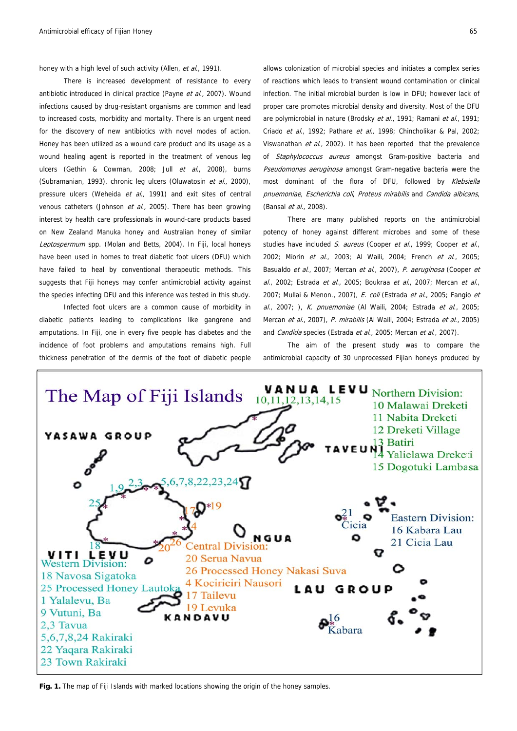honey with a high level of such activity (Allen, et al., 1991).

 There is increased development of resistance to every antibiotic introduced in clinical practice (Payne et al., 2007). Wound infections caused by drug-resistant organisms are common and lead to increased costs, morbidity and mortality. There is an urgent need for the discovery of new antibiotics with novel modes of action. Honey has been utilized as a wound care product and its usage as a wound healing agent is reported in the treatment of venous leg ulcers (Gethin & Cowman, 2008; Jull et al., 2008), burns (Subramanian, 1993), chronic leg ulcers (Oluwatosin et al., 2000), pressure ulcers (Weheida et al., 1991) and exit sites of central venous catheters (Johnson et al., 2005). There has been growing interest by health care professionals in wound-care products based on New Zealand Manuka honey and Australian honey of similar Leptospermum spp. (Molan and Betts, 2004). In Fiji, local honeys have been used in homes to treat diabetic foot ulcers (DFU) which have failed to heal by conventional therapeutic methods. This suggests that Fiji honeys may confer antimicrobial activity against the species infecting DFU and this inference was tested in this study.

 Infected foot ulcers are a common cause of morbidity in diabetic patients leading to complications like gangrene and amputations. In Fiji, one in every five people has diabetes and the incidence of foot problems and amputations remains high. Full thickness penetration of the dermis of the foot of diabetic people allows colonization of microbial species and initiates a complex series of reactions which leads to transient wound contamination or clinical infection. The initial microbial burden is low in DFU; however lack of proper care promotes microbial density and diversity. Most of the DFU are polymicrobial in nature (Brodsky et al., 1991; Ramani et al., 1991; Criado et al., 1992; Pathare et al., 1998; Chincholikar & Pal, 2002; Viswanathan et al., 2002). It has been reported that the prevalence of Staphylococcus aureus amongst Gram-positive bacteria and Pseudomonas aeruginosa amongst Gram-negative bacteria were the most dominant of the flora of DFU, followed by Klebsiella pnuemoniae, Escherichia coli, Proteus mirabilis and Candida albicans, (Bansal et al., 2008).

 There are many published reports on the antimicrobial potency of honey against different microbes and some of these studies have included S. aureus (Cooper et al., 1999; Cooper et al., 2002; Miorin et al., 2003; Al Waili, 2004; French et al., 2005; Basualdo et al., 2007; Mercan et al., 2007), P. aeruginosa (Cooper et  $al.$ , 2002; Estrada et  $al.$ , 2005; Boukraa et  $al.$ , 2007; Mercan et  $al.$ 2007; Mullai & Menon., 2007), E. coli (Estrada et al., 2005; Fangio et al., 2007; ), K. pnuemoniae (Al Waili, 2004; Estrada et al., 2005; Mercan et al., 2007), P. mirabilis (Al Waili, 2004; Estrada et al., 2005). and Candida species (Estrada et al., 2005; Mercan et al., 2007).

 The aim of the present study was to compare the antimicrobial capacity of 30 unprocessed Fijian honeys produced by



**Fig. 1.** The map of Fiji Islands with marked locations showing the origin of the honey samples.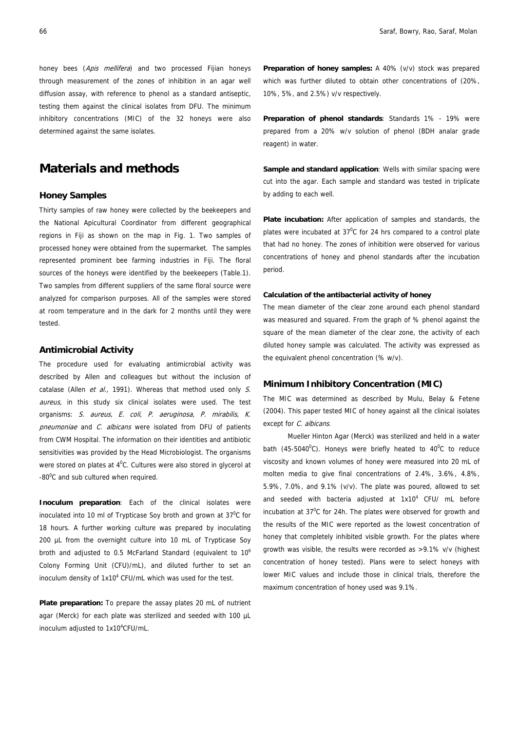honey bees (Apis mellifera) and two processed Fijian honeys through measurement of the zones of inhibition in an agar well diffusion assay, with reference to phenol as a standard antiseptic, testing them against the clinical isolates from DFU. The minimum inhibitory concentrations (MIC) of the 32 honeys were also determined against the same isolates.

# **Materials and methods**

## **Honey Samples**

Thirty samples of raw honey were collected by the beekeepers and the National Apicultural Coordinator from different geographical regions in Fiji as shown on the map in Fig. 1. Two samples of processed honey were obtained from the supermarket. The samples represented prominent bee farming industries in Fiji. The floral sources of the honeys were identified by the beekeepers (Table.1). Two samples from different suppliers of the same floral source were analyzed for comparison purposes. All of the samples were stored at room temperature and in the dark for 2 months until they were tested.

#### **Antimicrobial Activity**

The procedure used for evaluating antimicrobial activity was described by Allen and colleagues but without the inclusion of catalase (Allen et al., 1991). Whereas that method used only  $S$ . aureus, in this study six clinical isolates were used. The test organisms: S. aureus, E. coli, P. aeruginosa, P. mirabilis, K. pneumoniae and C. albicans were isolated from DFU of patients from CWM Hospital. The information on their identities and antibiotic sensitivities was provided by the Head Microbiologist. The organisms were stored on plates at  $4^{\circ}$ C. Cultures were also stored in glycerol at -80<sup>0</sup>C and sub cultured when required.

**Inoculum preparation**: Each of the clinical isolates were inoculated into 10 ml of Trypticase Soy broth and grown at 37 $\mathrm{^{0}C}$  for 18 hours. A further working culture was prepared by inoculating 200 µL from the overnight culture into 10 mL of Trypticase Soy broth and adjusted to 0.5 McFarland Standard (equivalent to  $10^6$ Colony Forming Unit (CFU)/mL), and diluted further to set an inoculum density of  $1x10^4$  CFU/mL which was used for the test.

**Plate preparation:** To prepare the assay plates 20 mL of nutrient agar (Merck) for each plate was sterilized and seeded with 100 µL inoculum adjusted to 1x10<sup>4</sup>CFU/mL.

**Preparation of honey samples:** A 40% (v/v) stock was prepared which was further diluted to obtain other concentrations of (20%, 10%, 5%, and 2.5%) v/v respectively.

**Preparation of phenol standards**: Standards 1% - 19% were prepared from a 20% w/v solution of phenol (BDH analar grade reagent) in water.

**Sample and standard application**: Wells with similar spacing were cut into the agar. Each sample and standard was tested in triplicate by adding to each well.

**Plate incubation:** After application of samples and standards, the plates were incubated at  $37^{\circ}$ C for 24 hrs compared to a control plate that had no honey. The zones of inhibition were observed for various concentrations of honey and phenol standards after the incubation period.

#### **Calculation of the antibacterial activity of honey**

The mean diameter of the clear zone around each phenol standard was measured and squared. From the graph of % phenol against the square of the mean diameter of the clear zone, the activity of each diluted honey sample was calculated. The activity was expressed as the equivalent phenol concentration (% w/v).

### **Minimum Inhibitory Concentration (MIC)**

The MIC was determined as described by Mulu, Belay & Fetene (2004). This paper tested MIC of honey against all the clinical isolates except for *C. albicans*.

 Mueller Hinton Agar (Merck) was sterilized and held in a water bath (45-5040 $^{\circ}$ C). Honeys were briefly heated to 40 $^{\circ}$ C to reduce viscosity and known volumes of honey were measured into 20 mL of molten media to give final concentrations of 2.4%, 3.6%, 4.8%, 5.9%, 7.0%, and 9.1% (v/v). The plate was poured, allowed to set and seeded with bacteria adjusted at  $1x10<sup>4</sup>$  CFU/ mL before incubation at  $37^{\circ}$ C for 24h. The plates were observed for growth and the results of the MIC were reported as the lowest concentration of honey that completely inhibited visible growth. For the plates where growth was visible, the results were recorded as >9.1% v/v (highest concentration of honey tested). Plans were to select honeys with lower MIC values and include those in clinical trials, therefore the maximum concentration of honey used was 9.1%.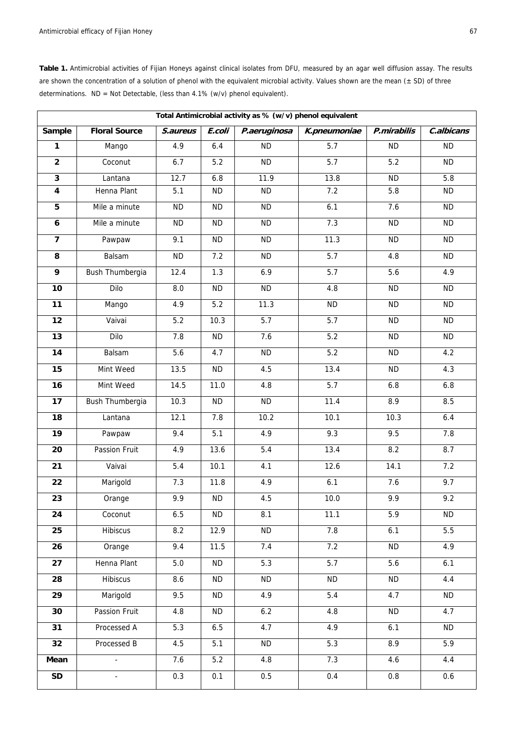Table 1. Antimicrobial activities of Fijian Honeys against clinical isolates from DFU, measured by an agar well diffusion assay. The results are shown the concentration of a solution of phenol with the equivalent microbial activity. Values shown are the mean  $(± SD)$  of three determinations. ND = Not Detectable, (less than 4.1% (w/v) phenol equivalent).

| Total Antimicrobial activity as % (w/v) phenol equivalent |                      |           |           |                  |                  |                  |            |  |
|-----------------------------------------------------------|----------------------|-----------|-----------|------------------|------------------|------------------|------------|--|
| Sample                                                    | <b>Floral Source</b> | S.aureus  | E.coli    | P.aeruginosa     | K.pneumoniae     | P.mirabilis      | C.albicans |  |
| $\mathbf{1}$                                              | Mango                | 4.9       | 6.4       | <b>ND</b>        | 5.7              | <b>ND</b>        | <b>ND</b>  |  |
| $\overline{2}$                                            | Coconut              | $6.7$     | 5.2       | <b>ND</b>        | 5.7              | 5.2              | <b>ND</b>  |  |
| $\mathbf{3}$                                              | Lantana              | 12.7      | 6.8       | 11.9             | 13.8             | <b>ND</b>        | 5.8        |  |
| $\overline{\mathbf{4}}$                                   | Henna Plant          | 5.1       | <b>ND</b> | <b>ND</b>        | 7.2              | 5.8              | <b>ND</b>  |  |
| 5                                                         | Mile a minute        | <b>ND</b> | <b>ND</b> | <b>ND</b>        | 6.1              | 7.6              | <b>ND</b>  |  |
| $\boldsymbol{6}$                                          | Mile a minute        | <b>ND</b> | <b>ND</b> | <b>ND</b>        | 7.3              | <b>ND</b>        | <b>ND</b>  |  |
| $\overline{7}$                                            | Pawpaw               | 9.1       | <b>ND</b> | <b>ND</b>        | 11.3             | <b>ND</b>        | <b>ND</b>  |  |
| 8                                                         | Balsam               | <b>ND</b> | 7.2       | <b>ND</b>        | 5.7              | 4.8              | ND         |  |
| 9                                                         | Bush Thumbergia      | 12.4      | 1.3       | 6.9              | 5.7              | 5.6              | 4.9        |  |
| 10                                                        | Dilo                 | 8.0       | <b>ND</b> | <b>ND</b>        | 4.8              | <b>ND</b>        | ND         |  |
| 11                                                        | Mango                | 4.9       | 5.2       | 11.3             | <b>ND</b>        | <b>ND</b>        | <b>ND</b>  |  |
| 12                                                        | Vaivai               | 5.2       | 10.3      | 5.7              | 5.7              | <b>ND</b>        | <b>ND</b>  |  |
| 13                                                        | Dilo                 | 7.8       | <b>ND</b> | 7.6              | 5.2              | <b>ND</b>        | <b>ND</b>  |  |
| 14                                                        | Balsam               | 5.6       | 4.7       | <b>ND</b>        | 5.2              | <b>ND</b>        | 4.2        |  |
| 15                                                        | Mint Weed            | 13.5      | <b>ND</b> | 4.5              | 13.4             | <b>ND</b>        | 4.3        |  |
| 16                                                        | Mint Weed            | 14.5      | 11.0      | $\overline{4.8}$ | $\overline{5.7}$ | 6.8              | $6.8\,$    |  |
| 17                                                        | Bush Thumbergia      | 10.3      | <b>ND</b> | <b>ND</b>        | 11.4             | 8.9              | 8.5        |  |
| 18                                                        | Lantana              | 12.1      | 7.8       | 10.2             | 10.1             | 10.3             | $6.4$      |  |
| $\overline{19}$                                           | Pawpaw               | 9.4       | 5.1       | 4.9              | 9.3              | 9.5              | 7.8        |  |
| 20                                                        | Passion Fruit        | 4.9       | 13.6      | 5.4              | 13.4             | 8.2              | 8.7        |  |
| 21                                                        | Vaivai               | 5.4       | 10.1      | 4.1              | 12.6             | 14.1             | 7.2        |  |
| 22                                                        | Marigold             | 7.3       | 11.8      | 4.9              | 6.1              | 7.6              | 9.7        |  |
| 23                                                        | Orange               | 9.9       | <b>ND</b> | 4.5              | 10.0             | 9.9              | 9.2        |  |
| 24                                                        | Coconut              | 6.5       | <b>ND</b> | 8.1              | 11.1             | $\overline{5.9}$ | <b>ND</b>  |  |
| 25                                                        | <b>Hibiscus</b>      | 8.2       | 12.9      | <b>ND</b>        | 7.8              | 6.1              | 5.5        |  |
| 26                                                        | Orange               | 9.4       | 11.5      | 7.4              | 7.2              | <b>ND</b>        | 4.9        |  |
| 27                                                        | Henna Plant          | 5.0       | <b>ND</b> | $\overline{5.3}$ | $\overline{5.7}$ | 5.6              | 6.1        |  |
| 28                                                        | <b>Hibiscus</b>      | 8.6       | ND        | <b>ND</b>        | <b>ND</b>        | ND               | 4.4        |  |
| 29                                                        | Marigold             | 9.5       | <b>ND</b> | 4.9              | 5.4              | 4.7              | <b>ND</b>  |  |
| 30                                                        | Passion Fruit        | 4.8       | <b>ND</b> | 6.2              | 4.8              | ND               | 4.7        |  |
| 31                                                        | Processed A          | 5.3       | 6.5       | 4.7              | 4.9              | 6.1              | <b>ND</b>  |  |
| 32                                                        | Processed B          | 4.5       | 5.1       | <b>ND</b>        | 5.3              | 8.9              | 5.9        |  |
| Mean                                                      | $\blacksquare$       | 7.6       | 5.2       | 4.8              | 7.3              | 4.6              | 4.4        |  |
| <b>SD</b>                                                 | $\blacksquare$       | 0.3       | 0.1       | 0.5              | 0.4              | $0.8\,$          | 0.6        |  |
|                                                           |                      |           |           |                  |                  |                  |            |  |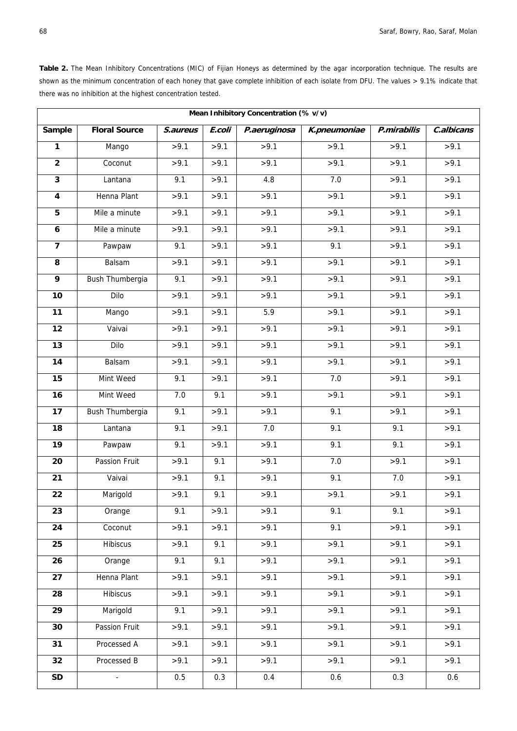**Table 2.** The Mean Inhibitory Concentrations (MIC) of Fijian Honeys as determined by the agar incorporation technique. The results are shown as the minimum concentration of each honey that gave complete inhibition of each isolate from DFU. The values > 9.1% indicate that there was no inhibition at the highest concentration tested.

| <b>Floral Source</b><br>S.aureus<br>Sample<br>E.coli<br>P.aeruginosa<br>K.pneumoniae<br>P.mirabilis<br>>9.1<br>>9.1<br>>9.1<br>>9.1<br>Mango<br>>9.1<br>1<br>$\overline{2}$<br>>9.1<br>>9.1<br>>9.1<br>>9.1<br>>9.1<br>Coconut | C.albicans<br>>9.1<br>>9.1 |
|--------------------------------------------------------------------------------------------------------------------------------------------------------------------------------------------------------------------------------|----------------------------|
|                                                                                                                                                                                                                                |                            |
|                                                                                                                                                                                                                                |                            |
|                                                                                                                                                                                                                                |                            |
| >9.1<br>$\overline{\mathbf{3}}$<br>9.1<br>4.8<br>7.0<br>>9.1<br>Lantana                                                                                                                                                        | >9.1                       |
| >9.1<br>Henna Plant<br>>9.1<br>>9.1<br>$\overline{\mathbf{4}}$<br>>9.1<br>>9.1                                                                                                                                                 | >9.1                       |
| >9.1<br>$5\phantom{.0}$<br>Mile a minute<br>>9.1<br>>9.1<br>>9.1<br>>9.1                                                                                                                                                       | >9.1                       |
| Mile a minute<br>>9.1<br>>9.1<br>>9.1<br>>9.1<br>>9.1<br>$\boldsymbol{6}$                                                                                                                                                      | >9.1                       |
| >9.1<br>$\overline{\mathbf{z}}$<br>9.1<br>>9.1<br>9.1<br>>9.1<br>Pawpaw                                                                                                                                                        | >9.1                       |
| >9.1<br>>9.1<br>Balsam<br>>9.1<br>>9.1<br>>9.1<br>8                                                                                                                                                                            | >9.1                       |
| 9<br>>9.1<br>>9.1<br>>9.1<br>Bush Thumbergia<br>9.1<br>>9.1                                                                                                                                                                    | >9.1                       |
| >9.1<br>10<br>>9.1<br>>9.1<br>>9.1<br>$\frac{1}{5}$ 9.1<br>Dilo                                                                                                                                                                | >9.1                       |
| $\overline{11}$<br>5.9<br>>9.1<br>>9.1<br>>9.1<br>Mango<br>>9.1                                                                                                                                                                | >9.1                       |
| 12<br>>9.1<br>>9.1<br>>9.1<br>Vaivai<br>>9.1<br>>9.1                                                                                                                                                                           | >9.1                       |
| $\overline{13}$<br>>9.1<br>>9.1<br>>9.1<br>>9.1<br>>9.1<br>Dilo                                                                                                                                                                | >9.1                       |
| >9.1<br>14<br>Balsam<br>>9.1<br>>9.1<br>>9.1<br>>9.1                                                                                                                                                                           | >9.1                       |
| >9.1<br>$\overline{15}$<br>Mint Weed<br>>9.1<br>7.0<br>9.1<br>>9.1                                                                                                                                                             | >9.1                       |
| >9.1<br>16<br>Mint Weed<br>7.0<br>9.1<br>>9.1<br>>9.1                                                                                                                                                                          | >9.1                       |
| >9.1<br>17<br>Bush Thumbergia<br>9.1<br>>9.1<br>9.1<br>>9.1                                                                                                                                                                    | >9.1                       |
| 7.0<br>9.1<br>18<br>9.1<br>>9.1<br>9.1<br>Lantana                                                                                                                                                                              | >9.1                       |
| 19<br>>9.1<br>9.1<br>9.1<br>9.1<br>>9.1<br>Pawpaw                                                                                                                                                                              | >9.1                       |
| >9.1<br>Passion Fruit<br>7.0<br>>9.1<br>20<br>>9.1<br>9.1                                                                                                                                                                      | >9.1                       |
| 21<br>>9.1<br>7.0<br>Vaivai<br>>9.1<br>9.1<br>9.1                                                                                                                                                                              | >9.1                       |
| 22<br>>9.1<br>9.1<br>>9.1<br>>9.1<br>Marigold<br>>9.1                                                                                                                                                                          | >9.1                       |
| >9.1<br>9.1<br>9.1<br>23<br>9.1<br>>9.1<br>Orange                                                                                                                                                                              | >9.1                       |
| $\overline{24}$<br>>9.1<br>>9.1<br>>9.1<br>9.1<br>>9.1<br>Coconut                                                                                                                                                              | >9.1                       |
| 25<br>Hibiscus<br>>9.1<br>9.1<br>>9.1<br>>9.1<br>>9.1                                                                                                                                                                          | >9.1                       |
| >9.1<br>>9.1<br>26<br>Orange<br>9.1<br>9.1<br>>9.1                                                                                                                                                                             | >9.1                       |
| Henna Plant<br>27<br>>9.1<br>>9.1<br>>9.1<br>>9.1<br>>9.1                                                                                                                                                                      | >9.1                       |
| <b>Hibiscus</b><br>28<br>>9.1<br>>9.1<br>>9.1<br>>9.1<br>>9.1                                                                                                                                                                  | >9.1                       |
| 29<br>Marigold<br>>9.1<br>>9.1<br>>9.1<br>9.1<br>>9.1                                                                                                                                                                          | >9.1                       |
| >9.1<br>30<br>Passion Fruit<br>>9.1<br>>9.1<br>>9.1<br>>9.1                                                                                                                                                                    | >9.1                       |
| 31<br>Processed A<br>>9.1<br>>9.1<br>>9.1<br>>9.1<br>>9.1                                                                                                                                                                      | >9.1                       |
| Processed B<br>32<br>>9.1<br>>9.1<br>>9.1<br>>9.1<br>>9.1                                                                                                                                                                      | >9.1                       |
| $\sf SD$<br>0.5<br>0.3<br>0.4<br>0.6<br>0.3<br>$\mathbb{Z}^2$                                                                                                                                                                  | 0.6                        |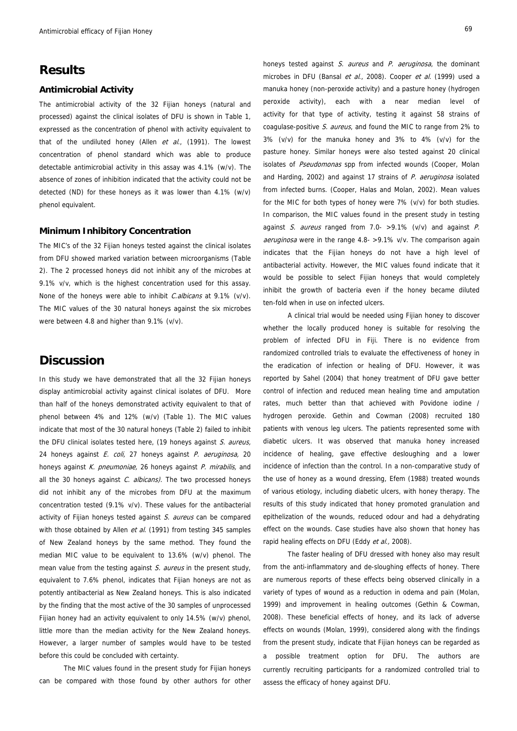## **Results**

#### **Antimicrobial Activity**

The antimicrobial activity of the 32 Fijian honeys (natural and processed) against the clinical isolates of DFU is shown in Table 1, expressed as the concentration of phenol with activity equivalent to that of the undiluted honey (Allen  $et$  al., (1991). The lowest concentration of phenol standard which was able to produce detectable antimicrobial activity in this assay was 4.1% (w/v). The absence of zones of inhibition indicated that the activity could not be detected (ND) for these honeys as it was lower than 4.1% (w/v) phenol equivalent.

#### **Minimum Inhibitory Concentration**

The MIC's of the 32 Fijian honeys tested against the clinical isolates from DFU showed marked variation between microorganisms (Table 2). The 2 processed honeys did not inhibit any of the microbes at 9.1% v/v, which is the highest concentration used for this assay. None of the honeys were able to inhibit *C. albicans* at 9.1% (v/v). The MIC values of the 30 natural honeys against the six microbes were between 4.8 and higher than 9.1% (v/v).

## **Discussion**

In this study we have demonstrated that all the 32 Fijian honeys display antimicrobial activity against clinical isolates of DFU. More than half of the honeys demonstrated activity equivalent to that of phenol between 4% and 12% (w/v) (Table 1). The MIC values indicate that most of the 30 natural honeys (Table 2) failed to inhibit the DFU clinical isolates tested here, (19 honeys against S. aureus, 24 honeys against E. coli, 27 honeys against P. aeruginosa, 20 honeys against K. pneumoniae, 26 honeys against P. mirabilis, and all the 30 honeys against  $C.$  albicans). The two processed honeys did not inhibit any of the microbes from DFU at the maximum concentration tested (9.1% v/v). These values for the antibacterial activity of Fijian honeys tested against S. aureus can be compared with those obtained by Allen et al. (1991) from testing 345 samples of New Zealand honeys by the same method. They found the median MIC value to be equivalent to 13.6% (w/v) phenol. The mean value from the testing against S. aureus in the present study, equivalent to 7.6% phenol, indicates that Fijian honeys are not as potently antibacterial as New Zealand honeys. This is also indicated by the finding that the most active of the 30 samples of unprocessed Fijian honey had an activity equivalent to only 14.5% (w/v) phenol, little more than the median activity for the New Zealand honeys. However, a larger number of samples would have to be tested before this could be concluded with certainty.

 The MIC values found in the present study for Fijian honeys can be compared with those found by other authors for other honeys tested against S. aureus and P. aeruginosa, the dominant microbes in DFU (Bansal et al., 2008). Cooper et al. (1999) used a manuka honey (non-peroxide activity) and a pasture honey (hydrogen peroxide activity), each with a near median level of activity for that type of activity, testing it against 58 strains of coagulase-positive S. aureus, and found the MIC to range from 2% to 3% (v/v) for the manuka honey and 3% to 4% (v/v) for the pasture honey. Similar honeys were also tested against 20 clinical isolates of Pseudomonas spp from infected wounds (Cooper, Molan and Harding, 2002) and against 17 strains of P. aeruginosa isolated from infected burns. (Cooper, Halas and Molan, 2002). Mean values for the MIC for both types of honey were 7% (v/v) for both studies. In comparison, the MIC values found in the present study in testing against S. aureus ranged from  $7.0 - 9.1\%$  (v/v) and against P. aeruginosa were in the range 4.8- > 9.1% v/v. The comparison again indicates that the Fijian honeys do not have a high level of antibacterial activity. However, the MIC values found indicate that it would be possible to select Fijian honeys that would completely inhibit the growth of bacteria even if the honey became diluted ten-fold when in use on infected ulcers.

 A clinical trial would be needed using Fijian honey to discover whether the locally produced honey is suitable for resolving the problem of infected DFU in Fiji. There is no evidence from randomized controlled trials to evaluate the effectiveness of honey in the eradication of infection or healing of DFU. However, it was reported by Sahel (2004) that honey treatment of DFU gave better control of infection and reduced mean healing time and amputation rates, much better than that achieved with Povidone iodine / hydrogen peroxide. Gethin and Cowman (2008) recruited 180 patients with venous leg ulcers. The patients represented some with diabetic ulcers. It was observed that manuka honey increased incidence of healing, gave effective desloughing and a lower incidence of infection than the control. In a non-comparative study of the use of honey as a wound dressing, Efem (1988) treated wounds of various etiology, including diabetic ulcers, with honey therapy. The results of this study indicated that honey promoted granulation and epithelization of the wounds, reduced odour and had a dehydrating effect on the wounds. Case studies have also shown that honey has rapid healing effects on DFU (Eddy et al., 2008).

 The faster healing of DFU dressed with honey also may result from the anti-inflammatory and de-sloughing effects of honey. There are numerous reports of these effects being observed clinically in a variety of types of wound as a reduction in odema and pain (Molan, 1999) and improvement in healing outcomes (Gethin & Cowman, 2008). These beneficial effects of honey, and its lack of adverse effects on wounds (Molan, 1999), considered along with the findings from the present study, indicate that Fijian honeys can be regarded as a possible treatment option for DFU. The authors are currently recruiting participants for a randomized controlled trial to assess the efficacy of honey against DFU.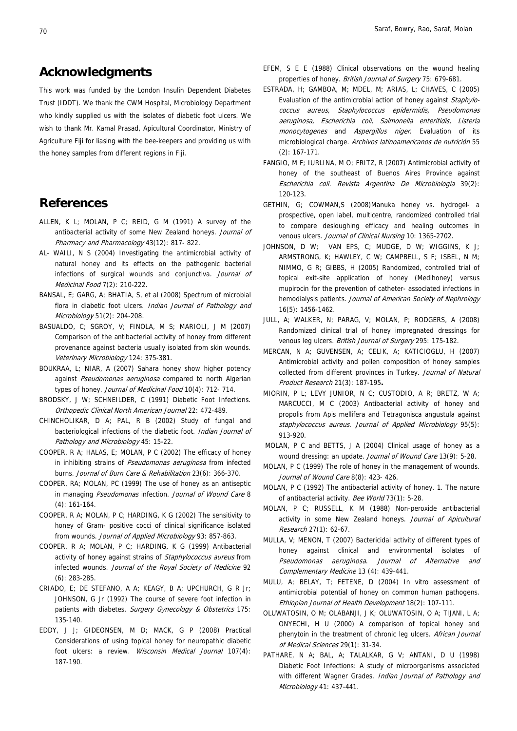## **Acknowledgments**

This work was funded by the London Insulin Dependent Diabetes Trust (IDDT). We thank the CWM Hospital, Microbiology Department who kindly supplied us with the isolates of diabetic foot ulcers. We wish to thank Mr. Kamal Prasad, Apicultural Coordinator, Ministry of Agriculture Fiji for liasing with the bee-keepers and providing us with the honey samples from different regions in Fiji.

## **References**

- ALLEN, K L; MOLAN, P C; REID, G M (1991) A survey of the antibacterial activity of some New Zealand honeys. Journal of Pharmacy and Pharmacology 43(12): 817- 822.
- AL- WAILI, N S (2004) Investigating the antimicrobial activity of natural honey and its effects on the pathogenic bacterial infections of surgical wounds and conjunctiva. Journal of Medicinal Food 7(2): 210-222.
- BANSAL, E; GARG, A; BHATIA, S, et al (2008) Spectrum of microbial flora in diabetic foot ulcers. Indian Journal of Pathology and Microbiology 51(2): 204-208.
- BASUALDO, C; SGROY, V; FINOLA, M S; MARIOLI, J M (2007) Comparison of the antibacterial activity of honey from different provenance against bacteria usually isolated from skin wounds. Veterinary Microbiology 124: 375-381.
- BOUKRAA, L; NIAR, A (2007) Sahara honey show higher potency against Pseudomonas aeruginosa compared to north Algerian types of honey. Journal of Medicinal Food 10(4): 712- 714.
- BRODSKY, J W; SCHNEILDER, C (1991) Diabetic Foot Infections. Orthopedic Clinical North American Journal 22: 472-489.
- CHINCHOLIKAR, D A; PAL, R B (2002) Study of fungal and bacteriological infections of the diabetic foot. Indian Journal of Pathology and Microbiology 45: 15-22.
- COOPER, R A; HALAS, E; MOLAN, P C (2002) The efficacy of honey in inhibiting strains of Pseudomonas aeruginosa from infected burns. Journal of Burn Care & Rehabilitation 23(6): 366-370.
- COOPER, RA; MOLAN, PC (1999) The use of honey as an antiseptic in managing Pseudomonas infection. Journal of Wound Care 8 (4): 161-164.
- COOPER, R A; MOLAN, P C; HARDING, K G (2002) The sensitivity to honey of Gram- positive cocci of clinical significance isolated from wounds. Journal of Applied Microbiology 93: 857-863.
- COOPER, R A; MOLAN, P C; HARDING, K G (1999) Antibacterial activity of honey against strains of Staphylococcus aureus from infected wounds. Journal of the Royal Society of Medicine 92 (6): 283-285.
- CRIADO, E; DE STEFANO, A A; KEAGY, B A; UPCHURCH, G R Jr; JOHNSON, G Jr (1992) The course of severe foot infection in patients with diabetes. Surgery Gynecology & Obstetrics 175: 135-140.
- EDDY, J J; GIDEONSEN, M D; MACK, G P (2008) Practical Considerations of using topical honey for neuropathic diabetic foot ulcers: a review. Wisconsin Medical Journal 107(4): 187-190.
- EFEM, S E E (1988) Clinical observations on the wound healing properties of honey. British Journal of Surgery 75: 679-681.
- ESTRADA, H; GAMBOA, M; MDEL, M; ARIAS, L; CHAVES, C (2005) Evaluation of the antimicrobial action of honey against Staphylococcus aureus, Staphylococcus epidermidis, Pseudomonas aeruginosa, Escherichia coli, Salmonella enteritidis, Listeria monocytogenes and Aspergillus niger. Evaluation of its microbiological charge. Archivos latinoamericanos de nutrición 55 (2): 167-171.
- FANGIO, M F; IURLINA, M O; FRITZ, R (2007) Antimicrobial activity of honey of the southeast of Buenos Aires Province against Escherichia coli. Revista Argentina De Microbiologia 39(2): 120-123.
- GETHIN, G; COWMAN,S (2008)Manuka honey vs. hydrogel- a prospective, open label, multicentre, randomized controlled trial to compare desloughing efficacy and healing outcomes in venous ulcers. Journal of Clinical Nursing 10: 1365-2702.
- JOHNSON, D W; VAN EPS, C; MUDGE, D W; WIGGINS, K J; ARMSTRONG, K; HAWLEY, C W; CAMPBELL, S F; ISBEL, N M; NIMMO, G R; GIBBS, H (2005) Randomized, controlled trial of topical exit-site application of honey (Medihoney) versus mupirocin for the prevention of catheter- associated infections in hemodialysis patients. Journal of American Society of Nephrology 16(5): 1456-1462.
- JULL, A; WALKER, N; PARAG, V; MOLAN, P; RODGERS, A (2008) Randomized clinical trial of honey impregnated dressings for venous leg ulcers. British Journal of Surgery 295: 175-182.
- MERCAN, N A; GUVENSEN, A; CELIK, A; KATICIOGLU, H (2007) Antimicrobial activity and pollen composition of honey samples collected from different provinces in Turkey. Journal of Natural Product Research 21(3): 187-195**.**
- MIORIN, P L; LEVY JUNIOR, N C; CUSTODIO, A R; BRETZ, W A; MARCUCCI, M C (2003) Antibacterial activity of honey and propolis from Apis mellifera and Tetragonisca angustula against staphylococcus aureus. Journal of Applied Microbiology 95(5): 913-920.
- MOLAN, P C and BETTS, J A (2004) Clinical usage of honey as a wound dressing: an update. Journal of Wound Care 13(9): 5-28.
- MOLAN, P C (1999) The role of honey in the management of wounds. Journal of Wound Care 8(8): 423- 426.
- MOLAN, P C (1992) The antibacterial activity of honey. 1. The nature of antibacterial activity. Bee World 73(1): 5-28.
- MOLAN, P C; RUSSELL, K M (1988) Non-peroxide antibacterial activity in some New Zealand honeys. Journal of Apicultural Research 27(1): 62-67.
- MULLA, V; MENON, T (2007) Bactericidal activity of different types of honey against clinical and environmental isolates of Pseudomonas aeruginosa. Journal of Alternative and Complementary Medicine 13 (4): 439-441.
- MULU, A; BELAY, T; FETENE, D (2004) In vitro assessment of antimicrobial potential of honey on common human pathogens. Ethiopian Journal of Health Development 18(2): 107-111.
- OLUWATOSIN, O M; OLABANJI, J K; OLUWATOSIN, O A; TIJANI, L A; ONYECHI, H U (2000) A comparison of topical honey and phenytoin in the treatment of chronic leg ulcers. African Journal of Medical Sciences 29(1): 31-34.
- PATHARE, N A; BAL, A; TALALKAR, G V; ANTANI, D U (1998) Diabetic Foot Infections: A study of microorganisms associated with different Wagner Grades. Indian Journal of Pathology and Microbiology 41: 437-441.